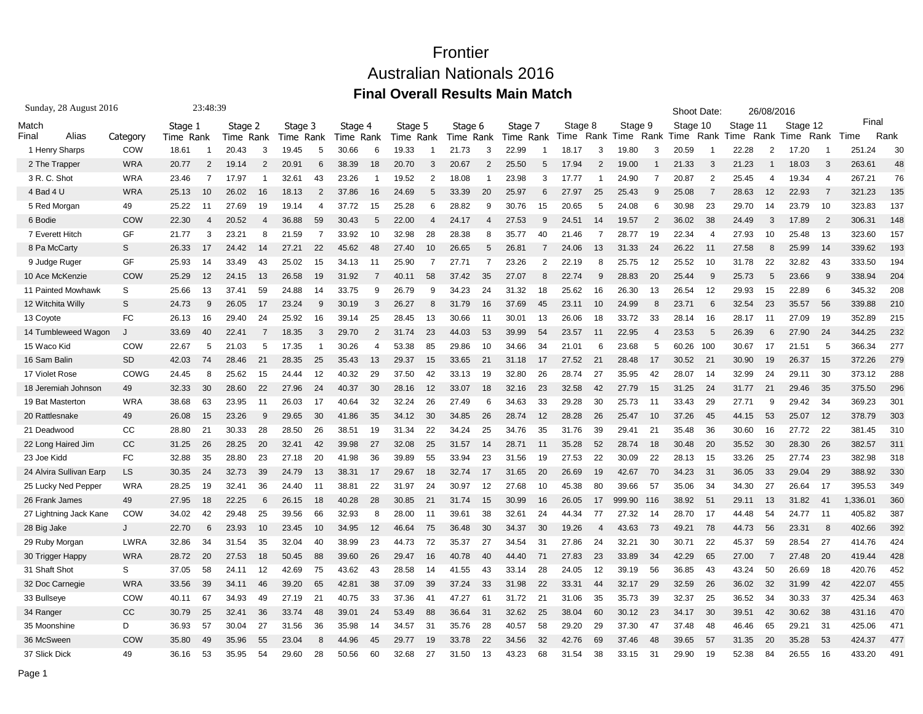| Sunday, 28 August 2016  |             | 23:48:39  |                |           |                |           |                |           |                |           |                |           |                |           |                |         | Shoot Date:    |           |                | 26/08/2016 |                |          |                |            |                |          |      |
|-------------------------|-------------|-----------|----------------|-----------|----------------|-----------|----------------|-----------|----------------|-----------|----------------|-----------|----------------|-----------|----------------|---------|----------------|-----------|----------------|------------|----------------|----------|----------------|------------|----------------|----------|------|
| Match                   |             | Stage 1   |                | Stage 2   |                | Stage 3   |                | Stage 4   |                | Stage 5   |                | Stage 6   |                | Stage 7   |                | Stage 8 |                | Stage 9   |                | Stage 10   |                | Stage 11 |                | Stage 12   |                | Final    |      |
| Final<br>Alias          | Category    | Time Rank |                | Time Rank |                | Time Rank |                | Time Rank |                | Time Rank |                | Time Rank |                | Time Rank |                | Time    |                | Rank Time |                | Rank Time  | Rank           | Time     | Rank           | Time       | Rank           | Time     | Rank |
| 1 Henry Sharps          | COW         | 18.61     |                | 20.43     | 3              | 19.45     | 5              | 30.66     | 6              | 19.33     |                | 21.73     | 3              | 22.99     |                | 18.17   | 3              | 19.80     | 3              | 20.59      |                | 22.28    | $\overline{2}$ | 17.20      |                | 251.24   | 30   |
| 2 The Trapper           | <b>WRA</b>  | 20.77     | $\overline{2}$ | 19.14     | $\overline{2}$ | 20.91     | 6              | 38.39     | 18             | 20.70     | 3              | 20.67     | $\overline{2}$ | 25.50     | 5              | 17.94   | 2              | 19.00     |                | 21.33      | 3              | 21.23    |                | 18.03      | 3              | 263.61   | 48   |
| 3 R.C. Shot             | <b>WRA</b>  | 23.46     | $\overline{7}$ | 17.97     |                | 32.61     | 43             | 23.26     |                | 19.52     | $\overline{2}$ | 18.08     | 1              | 23.98     | 3              | 17.77   |                | 24.90     | 7              | 20.87      | $\overline{2}$ | 25.45    | $\overline{4}$ | 19.34      | $\overline{4}$ | 267.21   | 76   |
| 4 Bad 4 U               | <b>WRA</b>  | 25.13     | 10             | 26.02     | 16             | 18.13     | $\overline{2}$ | 37.86     | 16             | 24.69     |                | 33.39     | 20             | 25.97     | 6              | 27.97   | 25             | 25.43     | g              | 25.08      | 7              | 28.63    | 12             | 22.93      | $\overline{7}$ | 321.23   | 135  |
| 5 Red Morgan            | 49          | 25.22     | 11             | 27.69     | 19             | 19.14     | $\overline{4}$ | 37.72     | 15             | 25.28     | 6              | 28.82     | 9              | 30.76     | 15             | 20.65   | 5              | 24.08     | 6              | 30.98      | 23             | 29.70    | 14             | 23.79      | 10             | 323.83   | 137  |
| 6 Bodie                 | COW         | 22.30     | $\overline{4}$ | 20.52     | $\overline{4}$ | 36.88     | 59             | 30.43     | 5              | 22.00     | 4              | 24.17     | 4              | 27.53     | 9              | 24.51   | 14             | 19.57     | $\overline{2}$ | 36.02      | 38             | 24.49    | 3              | 17.89      | $\overline{2}$ | 306.31   | 148  |
| 7 Everett Hitch         | GF          | 21.77     | 3              | 23.21     | 8              | 21.59     | 7              | 33.92     | 10             | 32.98     | 28             | 28.38     | 8              | 35.77     | 40             | 21.46   | 7              | 28.77     | 19             | 22.34      | $\overline{4}$ | 27.93    | 10             | 25.48      | 13             | 323.60   | 157  |
| 8 Pa McCarty            | S           | 26.33     | 17             | 24.42     | 14             | 27.21     | 22             | 45.62     | 48             | 27.40     | 10             | 26.65     | 5              | 26.81     | 7              | 24.06   | 13             | 31.33     | 24             | 26.22      | 11             | 27.58    | 8              | 25.99      | 14             | 339.62   | 193  |
| 9 Judge Ruger           | GF          | 25.93     | 14             | 33.49     | 43             | 25.02     | 15             | 34.13     | 11             | 25.90     |                | 27.71     | $\overline{7}$ | 23.26     | $\overline{2}$ | 22.19   | 8              | 25.75     | 12             | 25.52      | 10             | 31.78    | 22             | 32.82      | 43             | 333.50   | 194  |
| 10 Ace McKenzie         | COW         | 25.29     | 12             | 24.15     | 13             | 26.58     | 19             | 31.92     |                | 40.11     | 58             | 37.42     | 35             | 27.07     | 8              | 22.74   | 9              | 28.83     | 20             | 25.44      | 9              | 25.73    | 5              | 23.66      | 9              | 338.94   | 204  |
| 11 Painted Mowhawk      | S           | 25.66     | 13             | 37.41     | 59             | 24.88     | 14             | 33.75     | 9              | 26.79     |                | 34.23     | 24             | 31.32     | 18             | 25.62   | 16             | 26.30     | 13             | 26.54      | 12             | 29.93    | 15             | 22.89      | 6              | 345.32   | 208  |
| 12 Witchita Willy       | S           | 24.73     | 9              | 26.05     | 17             | 23.24     | 9              | 30.19     | 3              | 26.27     |                | 31.79     | 16             | 37.69     | 45             | 23.11   | 10             | 24.99     | 8              | 23.71      | 6              | 32.54    | 23             | 35.57      | 56             | 339.88   | 210  |
| 13 Coyote               | <b>FC</b>   | 26.13     | 16             | 29.40     | 24             | 25.92     | 16             | 39.14     | 25             | 28.45     | 13             | 30.66     | 11             | 30.01     | 13             | 26.06   | 18             | 33.72     | 33             | 28.14      | 16             | 28.17    | 11             | 27.09      | 19             | 352.89   | 215  |
| 14 Tumbleweed Wagon     | J           | 33.69     | 40             | 22.41     | 7              | 18.35     | 3              | 29.70     | $\overline{2}$ | 31.74     | 23             | 44.03     | 53             | 39.99     | 54             | 23.57   | 11             | 22.95     | $\overline{4}$ | 23.53      | 5              | 26.39    | 6              | 27.<br>.90 | 24             | 344.25   | 232  |
| 15 Waco Kid             | COW         | 22.67     | 5              | 21.03     | 5              | 17.35     | $\overline{1}$ | 30.26     | $\overline{4}$ | 53.38     | 85             | 29.86     | 10             | 34.66     | 34             | 21.01   | 6              | 23.68     | 5              | 60.26      | 100            | 30.67    | 17             | 21.51      | 5              | 366.34   | 277  |
| 16 Sam Balin            | <b>SD</b>   | 42.03     | 74             | 28.46     | 21             | 28.35     | 25             | 35.43     | 13             | 29.37     | 15             | 33.65     | 21             | 31.18     | 17             | 27.52   | 21             | 28.48     | 17             | 30.52      | 21             | 30.90    | 19             | 26.37      | 15             | 372.26   | 279  |
| 17 Violet Rose          | COWG        | 24.45     | 8              | 25.62     | 15             | 24.44     | 12             | 40.32     | 29             | 37.50     | 42             | 33.13     | 19             | 32.80     | 26             | 28.74   | 27             | 35.95     | 42             | 28.07      | 14             | 32.99    | 24             | 29.11      | 30             | 373.12   | 288  |
| 18 Jeremiah Johnson     | 49          | 32.33     | 30             | 28.60     | 22             | 27.96     | 24             | 40.37     | 30             | 28.16     | 12             | 33.07     | 18             | 32.16     | 23             | 32.58   | 42             | 27.79     | 15             | 31.25      | 24             | 31.77    | 21             | 29.46      | 35             | 375.50   | 296  |
| 19 Bat Masterton        | <b>WRA</b>  | 38.68     | 63             | 23.95     | 11             | 26.03     | 17             | 40.64     | 32             | 32.24     | 26             | 27.49     | 6              | 34.63     | 33             | 29.28   | 30             | 25.73     | 11             | 33.43      | 29             | 27.71    | 9              | 29.42      | -34            | 369.23   | 301  |
| 20 Rattlesnake          | 49          | 26.08     | 15             | 23.26     | 9              | 29.65     | 30             | 41.86     | 35             | 34.12     | 30             | 34.85     | 26             | 28.74     | 12             | 28.28   | 26             | 25.47     | 10             | 37.26      | 45             | 44.15    | 53             | 25.07      | 12             | 378.79   | 303  |
| 21 Deadwood             | CC          | 28.80     | 21             | 30.33     | 28             | 28.50     | 26             | 38.51     | 19             | 31.34     | 22             | 34.24     | 25             | 34.76     | 35             | 31.76   | 39             | 29.41     | 21             | 35.48      | 36             | 30.60    | 16             | 27.72      | 22             | 381.45   | 310  |
| 22 Long Haired Jim      | CC          | 31.25     | 26             | 28.25     | 20             | 32.41     | 42             | 39.98     | 27             | 32.08     | 25             | 31.57     | 14             | 28.71     | 11             | 35.28   | 52             | 28.74     | 18             | 30.48      | 20             | 35.52    | 30             | 28.30      | 26             | 382.57   | 311  |
| 23 Joe Kidd             | FC          | 32.88     | 35             | 28.80     | 23             | 27.18     | 20             | 41.98     | 36             | 39.89     | 55             | 33.94     | 23             | 31.56     | 19             | 27.53   | 22             | 30.09     | 22             | 28.13      | 15             | 33.26    | 25             | 27.74      | 23             | 382.98   | 318  |
| 24 Alvira Sullivan Earp | LS          | 30.35     | 24             | 32.73     | 39             | 24.79     | 13             | 38.31     | 17             | 29.67     | 18             | 32.74     | 17             | 31.65     | 20             | 26.69   | 19             | 42.67     | 70             | 34.23      | 31             | 36.05    | 33             | 29.04      | 29             | 388.92   | 330  |
| 25 Lucky Ned Pepper     | <b>WRA</b>  | 28.25     | 19             | 32.41     | 36             | 24.40     | 11             | 38.81     | 22             | 31.97     | 24             | 30.97     | 12             | 27.68     | 10             | 45.38   | 80             | 39.66     | 57             | 35.06      | 34             | 34.30    | 27             | 26.64      | -17            | 395.53   | 349  |
| 26 Frank James          | 49          | 27.95     | 18             | 22.25     | 6              | 26.15     | 18             | 40.28     | 28             | 30.85     | 21             | 31.74     | 15             | 30.99     | 16             | 26.05   | 17             | 999.90    | 116            | 38.92      | 51             | 29.11    | 13             | 31.82      | 41             | 1,336.01 | 360  |
| 27 Lightning Jack Kane  | COW         | 34.02     | 42             | 29.48     | 25             | 39.56     | 66             | 32.93     | 8              | 28.00     | 11             | 39.61     | 38             | 32.61     | 24             | 44.34   | 77             | 27.32     | 14             | 28.70      | 17             | 44.48    | 54             | 24.77      | 11             | 405.82   | 387  |
| 28 Big Jake             | J           | 22.70     | 6              | 23.93     | 10             | 23.45     | 10             | 34.95     | 12             | 46.64     | 75             | 36.48     | 30             | 34.37     | 30             | 19.26   | $\overline{4}$ | 43.63     | 73             | 49.21      | 78             | 44.73    | 56             | 23.31      | 8              | 402.66   | 392  |
| 29 Ruby Morgan          | <b>LWRA</b> | 32.86     | 34             | 31.54     | 35             | 32.04     | 40             | 38.99     | 23             | 44.73     | 72             | 35.37     | 27             | 34.54     | 31             | 27.86   | 24             | 32.21     | 30             | 30.71      | 22             | 45.37    | 59             | 28.54      | 27             | 414.76   | 424  |
| 30 Trigger Happy        | <b>WRA</b>  | 28.72     | 20             | 27.53     | 18             | 50.45     | 88             | 39.60     | 26             | 29.47     | 16             | 40.78     | 40             | 44.40     | 71             | 27.83   | 23             | 33.89     | 34             | 42.29      | 65             | 27.00    | $\overline{7}$ | 27.48      | -20            | 419.44   | 428  |
| 31 Shaft Shot           | S           | 37.05     | 58             | 24.11     | 12             | 42.69     | 75             | 43.62     | 43             | 28.58     | 14             | 41.55     | 43             | 33.14     | 28             | 24.05   | 12             | 39.19     | 56             | 36.85      | 43             | 43.24    | 50             | 26.69      | 18             | 420.76   | 452  |
| 32 Doc Carnegie         | <b>WRA</b>  | 33.56     | 39             | 34.11     | 46             | 39.20     | 65             | 42.81     | 38             | 37.09     | 39             | 37.24     | 33             | 31.98     | 22             | 33.31   | 44             | 32.17     | 29             | 32.59      | 26             | 36.02    | 32             | 31.99      | 42             | 422.07   | 455  |
| 33 Bullseye             | COW         | 40.11     | 67             | 34.93     | 49             | 27.19     | 21             | 40.75     | 33             | 37.36     | 41             | 47.27     | 61             | 31.72     | 21             | 31.06   | 35             | 35.73     | 39             | 32.37      | 25             | 36.52    | 34             | 30.33      | 37             | 425.34   | 463  |
| 34 Ranger               | <b>CC</b>   | 30.79     | 25             | 32.41     | 36             | 33.74     | 48             | 39.01     | 24             | 53.49     | 88             | 36.64     | 31             | 32.62     | 25             | 38.04   | 60             | 30.12     | 23             | 34.17      | 30             | 39.51    | 42             | 30.62      | 38             | 431.16   | 470  |
| 35 Moonshine            | D           | 36.93     | 57             | 30.04     | 27             | 31.56     | 36             | 35.98     | 14             | 34.57     | 31             | 35.76     | 28             | 40.57     | 58             | 29.20   | 29             | 37.30     | 47             | 37.48      | 48             | 46.46    | 65             | 29.21      | 31             | 425.06   | 471  |
| 36 McSween              | COW         | 35.80     | 49             | 35.96     | 55             | 23.04     | 8              | 44.96     | 45             | 29.77     | 19             | 33.78     | 22             | 34.56     | 32             | 42.76   | 69             | 37.46     | 48             | 39.65      | 57             | 31.35    | 20             | 35.28      | -53            | 424.37   | 477  |
| 37 Slick Dick           | 49          | 36.16     | 53             | 35.95     | 54             | 29.60     | 28             | 50.56     | 60             | 32.68     | 27             | 31.50     | 13             | 43.23     | 68             | 31.54   | 38             | 33.15     | 31             | 29.90      | 19             | 52.38    | 84             | 26.55      | 16             | 433.20   | 491  |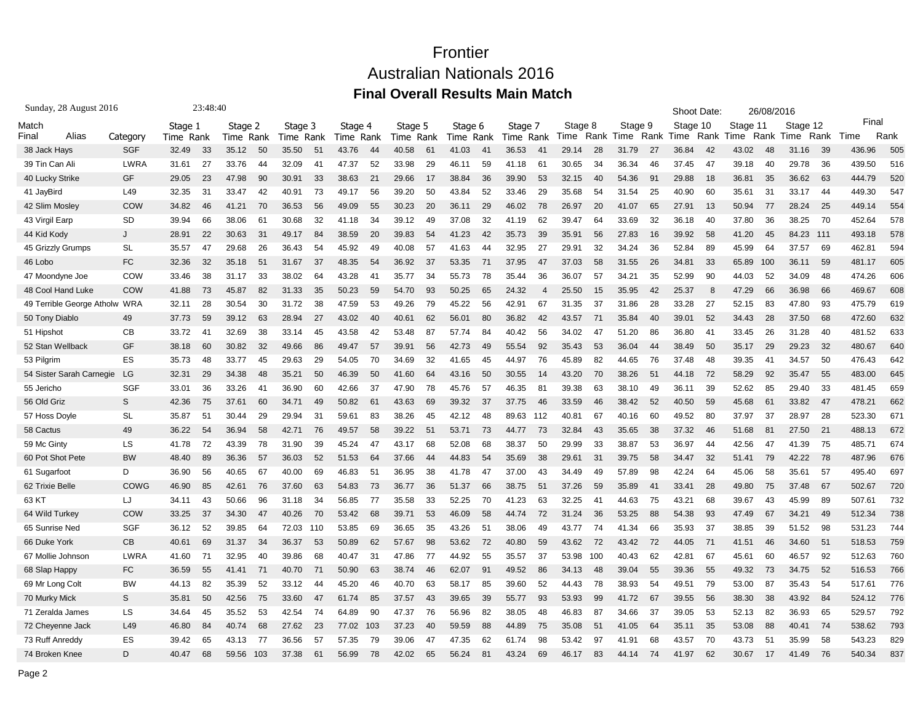| Sunday, 28 August 2016    |            | 23:48:40             |    |                      |     |                 |      |                 |      |                 |      |                 |      |                      |                |                 |      |                 | Shoot Date: |                  |      | 26/08/2016       |      |                  |      |               |      |
|---------------------------|------------|----------------------|----|----------------------|-----|-----------------|------|-----------------|------|-----------------|------|-----------------|------|----------------------|----------------|-----------------|------|-----------------|-------------|------------------|------|------------------|------|------------------|------|---------------|------|
| Match<br>Alias<br>Final   | Category   | Stage 1<br>Time Rank |    | Stage 2<br>Time Rank |     | Stage 3<br>Time | Rank | Stage 4<br>Time | Rank | Stage 5<br>Time | Rank | Stage 6<br>Time | Rank | Stage 7<br>Time Rank |                | Stage 8<br>Time | Rank | Stage 9<br>Time | Rank        | Stage 10<br>Time | Rank | Stage 11<br>Time | Rank | Stage 12<br>Time | Rank | Final<br>Time | Rank |
| 38 Jack Hays              | <b>SGF</b> | 32.49                | 33 | 35.12                | 50  | 35.50           | 51   | 43.76           | 44   | 40.58           | 61   | 41.03           | 41   | 36.53                | 41             | 29.14           | 28   | 31.79           | 27          | 36.84            | 42   | 43.02            | 48   | 31.16            | 39   | 436.96        | 505  |
| 39 Tin Can Ali            | LWRA       | 31.61                | 27 | 33.76                | 44  | 32.09           | 41   | 47.37           | 52   | 33.98           | 29   | 46.11           | 59   | 41.18                | -61            | 30.65           | -34  | 36.34           | 46          | 37.45            | 47   | 39.18            | 40   | 29.78            | 36   | 439.50        | 516  |
| 40 Lucky Strike           | GF         | 29.05                | 23 | 47.98                | 90  | 30.91           | 33   | 38.63           | 21   | 29.66           | 17   | 38.84           | 36   | 39.90                | 53             | 32.15           | 40   | 54.36           | 91          | 29.88            | 18   | 36.81            | 35   | 36.62            | 63   | 444.79        | 520  |
| 41 JayBird                | L49        | 32.35                | 31 | 33.47                | 42  | 40.91           | 73   | 49.17           | 56   | 39.20           | 50   | 43.84           | 52   | 33.46                | 29             | 35.68           | 54   | 31.54           | 25          | 40.90            | 60   | 35.61            | 31   | 33.17            | 44   | 449.30        | 547  |
| 42 Slim Mosley            | COW        | 34.82                | 46 | 41.21                | 70  | 36.53           | 56   | 49.09           | 55   | 30.23           | 20   | 36.11           | 29   | 46.02                | 78             | 26.97           | 20   | 41.07           | 65          | 27.91            | 13   | 50.94            | 77   | 28.24            | 25   | 449.14        | 554  |
| 43 Virgil Earp            | <b>SD</b>  | 39.94                | 66 | 38.06                | 61  | 30.68           | 32   | 41.18           | 34   | 39.12           | 49   | 37.08           | 32   | 41.19                | 62             | 39.47           | 64   | 33.69           | 32          | 36.18            | 40   | 37.80            | 36   | 38.25            | 70   | 452.64        | 578  |
| 44 Kid Kody               | J          | 28.91                | 22 | 30.63                | 31  | 49.17           | 84   | 38.59           | 20   | 39.83           | 54   | 41.23           | 42   | 35.73                | 39             | 35.91           | 56   | 27.83           | 16          | 39.92            | 58   | 41.20            | 45   | 84.23            | 111  | 493.18        | 578  |
| 45 Grizzly Grumps         | SL         | 35.57                | 47 | 29.68                | 26  | 36.43           | 54   | 45.92           | 49   | 40.08           | 57   | 41.63           | 44   | 32.95                | 27             | 29.91           | 32   | 34.24           | 36          | 52.84            | 89   | 45.99            | 64   | 37.57            | 69   | 462.81        | 594  |
| 46 Lobo                   | FC         | 32.36                | 32 | 35.18                | 51  | 31.67           | 37   | 48.35           | 54   | 36.92           | 37   | 53.35           | 71   | 37.95                | 47             | 37.03           | 58   | 31.55           | 26          | 34.81            | 33   | 65.89            | 100  | 36.11            | 59   | 481.17        | 605  |
| 47 Moondyne Joe           | COW        | 33.46                | 38 | 31.17                | 33  | 38.02           | 64   | 43.28           | 41   | 35.77           | 34   | 55.73           | 78   | 35.44                | 36             | 36.07           | 57   | 34.21           | 35          | 52.99            | 90   | 44.03            | 52   | 34.09            | 48   | 474.26        | 606  |
| 48 Cool Hand Luke         | COW        | 41.88                | 73 | 45.87                | 82  | 31.33           | 35   | 50.23           | 59   | 54.70           | 93   | 50.25           | 65   | 24.32                | $\overline{4}$ | 25.50           | 15   | 35.95           | 42          | 25.37            | 8    | 47.29            | 66   | 36.98            | 66   | 469.67        | 608  |
| 49 Terrible George Atholw | <b>WRA</b> | 32.11                | 28 | 30.54                | 30  | 31.72           | 38   | 47.59           | 53   | 49.26           | 79   | 45.22           | 56   | 42.91                | 67             | 31.35           | 37   | 31.86           | 28          | 33.28            | 27   | 52.15            | 83   | 47.80            | 93   | 475.79        | 619  |
| 50 Tony Diablo            | 49         | 37.73                | 59 | 39.12                | 63  | 28.94           | 27   | 43.02           | 40   | 40.61           | 62   | 56.01           | 80   | 36.82                | 42             | 43.57           | 71   | 35.84           | 40          | 39.01            | 52   | 34.43            | 28   | 37.50            | 68   | 472.60        | 632  |
| 51 Hipshot                | <b>CB</b>  | 33.72                | 41 | 32.69                | 38  | 33.14           | 45   | 43.58           | 42   | 53.48           | 87   | 57.74           | 84   | 40.42                | 56             | 34.02           | 47   | 51.20           | 86          | 36.80            | 41   | 33.45            | 26   | 31.28            | 40   | 481.52        | 633  |
| 52 Stan Wellback          | GF         | 38.18                | 60 | 30.82                | 32  | 49.66           | 86   | 49.47           | 57   | 39.91           | 56   | 42.73           | 49   | 55.54                | 92             | 35.43           | 53   | 36.04           | 44          | 38.49            | 50   | 35.17            | 29   | 29.23            | 32   | 480.67        | 640  |
| 53 Pilgrim                | ES         | 35.73                | 48 | 33.77                | 45  | 29.63           | 29   | 54.05           | 70   | 34.69           | 32   | 41.65           | 45   | 44.97                | 76             | 45.89           | 82   | 44.65           | 76          | 37.48            | 48   | 39.35            | 41   | 34.57            | 50   | 476.43        | 642  |
| 54 Sister Sarah Carnegie  | LG         | 32.31                | 29 | 34.38                | 48  | 35.21           | 50   | 46.39           | 50   | 41.60           | 64   | 43.16           | 50   | 30.55                | 14             | 43.20           | 70   | 38.26           | 51          | 44.18            | 72   | 58.29            | 92   | 35.47            | 55   | 483.00        | 645  |
| 55 Jericho                | <b>SGF</b> | 33.01                | 36 | 33.26                | 41  | 36.90           | 60   | 42.66           | 37   | 47.90           | 78   | 45.76           | 57   | 46.35                | 81             | 39.38           | 63   | 38.10           | 49          | 36.11            | 39   | 52.62            | 85   | 29.40            | 33   | 481.45        | 659  |
| 56 Old Griz               | S          | 42.36                | 75 | 37.61                | 60  | 34.71           | 49   | 50.82           | 61   | 43.63           | 69   | 39.32           | 37   | 37.75                | 46             | 33.59           | 46   | 38.42           | 52          | 40.50            | 59   | 45.68            | 61   | 33.82            | 47   | 478.21        | 662  |
| 57 Hoss Doyle             | <b>SL</b>  | 35.87                | 51 | 30.44                | 29  | 29.94           | 31   | 59.61           | 83   | 38.26           | 45   | 42.12           | 48   | 89.63                | 112            | 40.81           | 67   | 40.16           | 60          | 49.52            | 80   | 37.97            | 37   | 28.97            | 28   | 523.30        | 671  |
| 58 Cactus                 | 49         | 36.22                | 54 | 36.94                | 58  | 42.71           | 76   | 49.57           | 58   | 39.22           | 51   | 53.71           | 73   | 44.77                | 73             | 32.84           | 43   | 35.65           | 38          | 37.32            | 46   | 51.68            | 81   | 27.50            | 21   | 488.13        | 672  |
| 59 Mc Ginty               | LS         | 41.78                | 72 | 43.39                | 78  | 31.90           | 39   | 45.24           | 47   | 43.17           | 68   | 52.08           | 68   | 38.37                | 50             | 29.99           | 33   | 38.87           | 53          | 36.97            | 44   | 42.56            | 47   | 41.39            | 75   | 485.71        | 674  |
| 60 Pot Shot Pete          | <b>BW</b>  | 48.40                | 89 | 36.36                | 57  | 36.03           | 52   | 51.53           | 64   | 37.66           | 44   | 44.83           | 54   | 35.69                | 38             | 29.61           | 31   | 39.75           | 58          | 34.47            | 32   | 51.41            | 79   | 42.22            | 78   | 487.96        | 676  |
| 61 Sugarfoot              | D          | 36.90                | 56 | 40.65                | 67  | 40.00           | 69   | 46.83           | 51   | 36.95           | 38   | 41.78           | 47   | 37.00                | 43             | 34.49           | 49   | 57.89           | 98          | 42.24            | 64   | 45.06            | 58   | 35.61            | 57   | 495.40        | 697  |
| 62 Trixie Belle           | COWG       | 46.90                | 85 | 42.61                | 76  | 37.60           | 63   | 54.83           | 73   | 36.77           | 36   | 51.37           | 66   | 38.75                | 51             | 37.26           | 59   | 35.89           | 41          | 33.41            | 28   | 49.80            | 75   | 37.48            | 67   | 502.67        | 720  |
| 63 KT                     | LJ         | 34.11                | 43 | 50.66                | 96  | 31.18           | 34   | 56.85           | -77  | 35.58           | 33   | 52.25           | 70   | 41.23                | 63             | 32.25           | 41   | 44.63           | 75          | 43.21            | 68   | 39.67            | 43   | 45.99            | 89   | 507.61        | 732  |
| 64 Wild Turkey            | COW        | 33.25                | 37 | 34.30                | 47  | 40.26           | 70   | 53.42           | 68   | 39.71           | 53   | 46.09           | 58   | 44.74                | 72             | 31.24           | 36   | 53.25           | 88          | 54.38            | 93   | 47.49            | 67   | 34.21            | 49   | 512.34        | 738  |
| 65 Sunrise Ned            | <b>SGF</b> | 36.12                | 52 | 39.85                | 64  | 72.03           | 110  | 53.85           | 69   | 36.65           | 35   | 43.26           | 51   | 38.06                | 49             | 43.77           | 74   | 41.34           | 66          | 35.93            | 37   | 38.85            | 39   | 51.52            | 98   | 531.23        | 744  |
| 66 Duke York              | <b>CB</b>  | 40.61                | 69 | 31.37                | 34  | 36.37           | 53   | 50.89           | 62   | 57.67           | 98   | 53.62           | 72   | 40.80                | 59             | 43.62           | 72   | 43.42           | 72          | 44.05            | 71   | 41.51            | 46   | 34.60            | 51   | 518.53        | 759  |
| 67 Mollie Johnson         | LWRA       | 41.60                | 71 | 32.95                | 40  | 39.86           | 68   | 40.47           | 31   | 47.86           | 77   | 44.92           | 55   | 35.57                | 37             | 53.98           | 100  | 40.43           | 62          | 42.81            | 67   | 45.61            | 60   | 46.57            | 92   | 512.63        | 760  |
| 68 Slap Happy             | FC         | 36.59                | 55 | 41.41                | 71  | 40.70           | 71   | 50.90           | 63   | 38.74           | 46   | 62.07           | 91   | 49.52                | 86             | 34.13           | 48   | 39.04           | 55          | 39.36            | 55   | 49.32            | 73   | 34.75            | 52   | 516.53        | 766  |
| 69 Mr Long Colt           | <b>BW</b>  | 44.13                | 82 | 35.39                | 52  | 33.12           | 44   | 45.20           | 46   | 40.70           | 63   | 58.17           | 85   | 39.60                | 52             | 44.43           | 78   | 38.93           | 54          | 49.51            | 79   | 53.00            | 87   | 35.43            | 54   | 517.6'        | 776  |
| 70 Murky Mick             | S          | 35.81                | 50 | 42.56                | 75  | 33.60           | 47   | 61.74           | 85   | 37.57           | 43   | 39.65           | 39   | 55.77                | 93             | 53.93           | 99   | 41.72           | 67          | 39.55            | 56   | 38.30            | 38   | 43.92            | 84   | 524.12        | 776  |
| 71 Zeralda James          | LS         | 34.64                | 45 | 35.52                | 53  | 42.54           | 74   | 64.89           | 90   | 47.37           | 76   | 56.96           | 82   | 38.05                | 48             | 46.83           | 87   | 34.66           | 37          | 39.05            | 53   | 52.13            | 82   | 36.93            | 65   | 529.57        | 792  |
| 72 Cheyenne Jack          | L49        | 46.80                | 84 | 40.74                | 68  | 27.62           | 23   | 77.02           | 103  | 37.23           | 40   | 59.59           | 88   | 44.89                | 75             | 35.08           | 51   | 41.05           | 64          | 35.11            | 35   | 53.08            | 88   | 40.41            | -74  | 538.62        | 793  |
| 73 Ruff Anreddy           | ES         | 39.42                | 65 | 43.13                | 77  | 36.56           | 57   | 57.35           | 79   | 39.06           | 47   | 47.35           | 62   | 61.74                | 98             | 53.42           | 97   | 41.91           | 68          | 43.57            | 70   | 43.73            | 51   | 35.99            | 58   | 543.23        | 829  |
| 74 Broken Knee            | D          | 40.47                | 68 | 59.56                | 103 | 37.38           | 61   | 56.99           | 78   | 42.02           | 65   | 56.24           | 81   | 43.24                | 69             | 46.17           | 83   | 44.14           | 74          | 41.97            | 62   | 30.67            | 17   | 41.49            | 76   | 540.34        | 837  |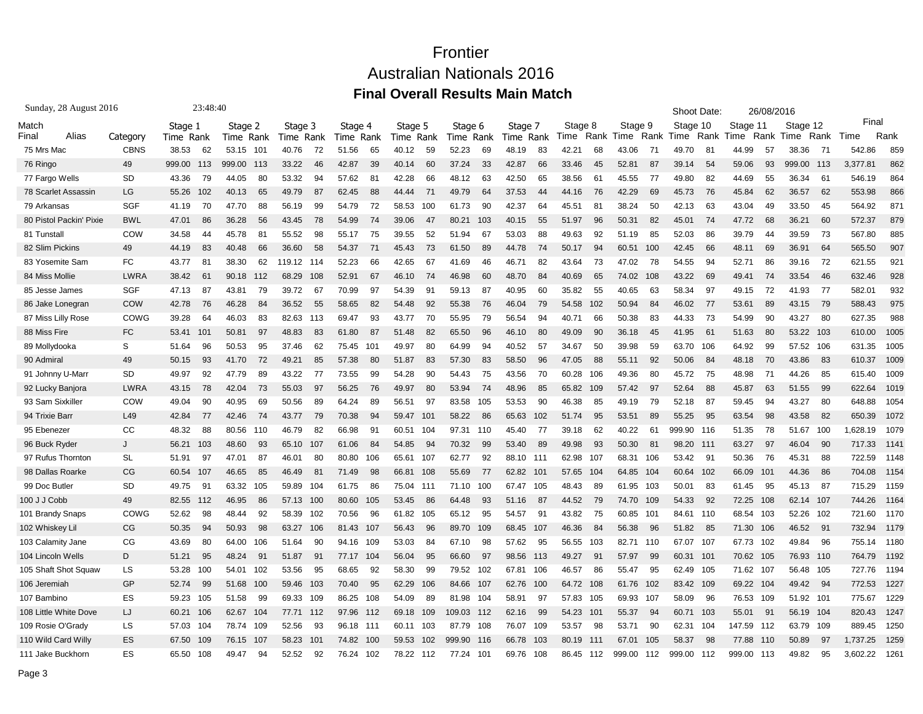| Sunday, 28 August 2016  |             | 23:48:40      |               |                          |              |              |               |              |                          |               | Shoot Date:     | 26/08/2016    |               |                  |
|-------------------------|-------------|---------------|---------------|--------------------------|--------------|--------------|---------------|--------------|--------------------------|---------------|-----------------|---------------|---------------|------------------|
| Match                   |             | Stage 1       | Stage 2       | Stage 3                  | Stage 4      | Stage 5      | Stage 6       | Stage 7      | Stage 8                  | Stage 9       | Stage 10        | Stage 11      | Stage 12      | Final            |
| Alias<br>Final          | Category    | Time Rank     | Time Rank     | Time Rank                | Rank<br>Time | Rank<br>Time | Rank<br>l ime | Time Rank    | Rank<br>Time             | Rank<br>Time  | Rank<br>Time    | Rank<br>Time  | Rank<br>Time  | Rank<br>Time     |
| 75 Mrs Mac              | <b>CBNS</b> | 38.53<br>62   | 53.15<br>101  | 40.76<br>72              | 51.56<br>65  | 40.12<br>59  | 52.23<br>69   | 83<br>48.19  | 42.21<br>68              | 43.06<br>71   | 49.70<br>81     | 44.99<br>57   | 38.36<br>- 71 | 859<br>542.86    |
| 76 Ringo                | 49          | 999.00<br>113 | 999.00<br>113 | 33.22<br>46              | 42.87<br>39  | 40.14<br>60  | 37.24<br>33   | 42.87<br>66  | 33.46<br>45              | 52.81<br>87   | 39.14<br>54     | 59.06<br>93   | 999.00<br>113 | 862<br>3,377.81  |
| 77 Fargo Wells          | <b>SD</b>   | 43.36<br>79   | 80<br>44.05   | 53.32<br>94              | 57.62<br>81  | 42.28<br>66  | 48.12<br>63   | 42.50<br>65  | 38.56<br>61              | 45.55<br>77   | 82<br>49.80     | 44.69<br>55   | 36.34<br>61   | 864<br>546.19    |
| 78 Scarlet Assassin     | LG          | 55.26<br>102  | 40.13<br>65   | 49.79<br>87              | 62.45<br>88  | 44.44<br>71  | 49.79<br>64   | 37.53<br>44  | 44.16<br>76              | 42.29<br>69   | 76<br>45.73     | 45.84<br>62   | 36.57<br>62   | 866<br>553.98    |
| 79 Arkansas             | SGF         | 41.19<br>70   | 47.70<br>88   | 99<br>56.19              | 72<br>54.79  | 58.53<br>100 | 90<br>61.73   | 42.37<br>64  | 45.51<br>81              | 38.24<br>50   | 42.13<br>63     | 43.04<br>49   | 33.50<br>45   | 564.92<br>871    |
| 80 Pistol Packin' Pixie | <b>BWL</b>  | 47.01<br>86   | 56<br>36.28   | 43.45<br>78              | 54.99<br>74  | 39.06<br>47  | 103<br>80.21  | 55<br>40.15  | 51.97<br>96              | 50.31<br>82   | 74<br>45.01     | 47.72<br>68   | 36.21<br>60   | 879<br>572.37    |
| 81 Tunstall             | COW         | 34.58<br>44   | 45.78<br>81   | 55.52<br>98              | 75<br>55.17  | 52<br>39.55  | 51.94<br>67   | 88<br>53.03  | 49.63<br>92              | 85<br>51.19   | 52.03<br>86     | 39.79<br>44   | 39.59<br>73   | 567.80<br>885    |
| 82 Slim Pickins         | 49          | 44.19<br>83   | 40.48<br>66   | 36.60<br>58              | 54.37<br>71  | 73<br>45.43  | 61.50<br>89   | 74<br>44.78  | 50.17<br>94              | 60.51<br>100  | 42.45<br>66     | 48.11<br>69   | 36.91<br>64   | 565.50<br>907    |
| 83 Yosemite Sam         | <b>FC</b>   | 43.77<br>81   | 62<br>38.30   | 119.12<br>114            | 52.23<br>66  | 67<br>42.65  | 46<br>41.69   | 82<br>46.71  | 73<br>43.64              | 78<br>47.02   | 94<br>54.55     | 52.71<br>86   | 39.16<br>72   | 621.55<br>921    |
| 84 Miss Mollie          | <b>LWRA</b> | 38.42<br>61   | 90.18<br>112  | 68.29<br>108             | 52.91<br>67  | 74<br>46.10  | 46.98<br>60   | 84<br>48.70  | 40.69<br>65              | 108<br>74.02  | 69<br>43.22     | 49.41<br>74   | 46<br>33.54   | 632.46<br>928    |
| 85 Jesse James          | SGF         | 47.13<br>87   | 79<br>43.81   | 39.72<br>67              | 70.99<br>97  | 54.39<br>91  | 59.13<br>87   | 40.95<br>60  | 35.82<br>55              | 63<br>40.65   | 58.34<br>97     | 49.15<br>72   | 77<br>41.93   | 932<br>582.01    |
| 86 Jake Lonegran        | COW         | 42.78<br>76   | 46.28<br>84   | 36.52<br>55              | 58.65<br>82  | 92<br>54.48  | 55.38<br>76   | 79<br>46.04  | 54.58<br>102             | 50.94<br>84   | 46.02<br>77     | 53.61<br>89   | - 79<br>43.15 | 588.43<br>975    |
| 87 Miss Lilly Rose      | COWG        | 39.28<br>64   | 46.03<br>83   | 82.63<br>113             | 69.47<br>93  | 70<br>43.77  | 55.95<br>79   | 94<br>56.54  | 40.71<br>66              | 50.38<br>83   | 73<br>44.33     | 54.99<br>90   | 43.27<br>80   | 988<br>627.35    |
| 88 Miss Fire            | <b>FC</b>   | 53.41<br>101  | 97<br>50.81   | 48.83<br>83              | 87<br>61.80  | 82<br>51.48  | 65.50<br>96   | 80<br>46.10  | 49.09<br>90              | 36.18<br>45   | 41.95<br>61     | 80<br>51.63   | 53.22 103     | 1005<br>610.00   |
| 89 Mollydooka           | S           | 51.64<br>96   | 95<br>50.53   | 62<br>37.46              | 75.45<br>101 | 49.97<br>80  | 64.99<br>94   | 40.52<br>57  | 34.67<br>50              | 39.98<br>59   | 106<br>63.70    | 64.92<br>99   | 57.52 106     | 631.35<br>1005   |
| 90 Admiral              | 49          | 50.15<br>93   | 72<br>41.70   | 49.21<br>85              | 57.38<br>80  | 83<br>51.87  | 83<br>57.30   | 96<br>58.50  | 47.05<br>88              | 92<br>55.11   | 50.06<br>84     | 48.18<br>70   | 43.86<br>83   | 1009<br>610.37   |
| 91 Johnny U-Marr        | <b>SD</b>   | 49.97<br>92   | 89<br>47.79   | 43.22<br>77              | 73.55<br>99  | 54.28<br>90  | 54.43<br>75   | 70<br>43.56  | 60.28<br>106             | 49.36<br>80   | 45.72<br>75     | 48.98<br>71   | 44.26<br>85   | 1009<br>615.40   |
| 92 Lucky Banjora        | <b>LWRA</b> | 43.15<br>78   | 73<br>42.04   | 55.03<br>97              | 56.25<br>76  | 49.97<br>80  | 53.94<br>74   | 85<br>48.96  | 65.82<br>109             | 57.42<br>97   | 88<br>52.64     | 45.87<br>63   | 99<br>51.55   | 1019<br>622.64   |
| 93 Sam Sixkiller        | COW         | 49.04<br>90   | 40.95<br>69   | 50.56<br>89              | 64.24<br>89  | 56.51<br>97  | 83.58<br>105  | 90<br>53.53  | 46.38<br>85              | 49.19<br>79   | 52.18<br>87     | 59.45<br>94   | 43.27<br>80   | 1054<br>648.88   |
| 94 Trixie Barı          | L49         | 42.84<br>77   | 42.46<br>74   | 43.77<br>79              | 70.38<br>94  | 59.47<br>101 | 58.22<br>86   | 102<br>65.63 | 51.74<br>95              | 53.51<br>89   | 55.25<br>95     | 63.54<br>98   | 82<br>43.58   | 1072<br>650.39   |
| 95 Ebenezer             | CC          | 48.32<br>88   | 80.56<br>110  | 82<br>46.79              | 66.98<br>91  | 60.51<br>104 | 97.31<br>110  | 77<br>45.40  | 39.18<br>62              | 40.22<br>61   | 999.90<br>116   | 78<br>51.35   | 100<br>51.67  | 1079<br>1,628.19 |
| 96 Buck Ryder           | J           | 56.21<br>103  | 48.60<br>93   | 65.10<br>107             | 61.06<br>84  | 54.85<br>94  | 70.32<br>99   | 53.40<br>89  | 49.98<br>93              | 50.30<br>81   | 98.20<br>111    | 63.27<br>97   | 90<br>46.04   | 1141<br>717.33   |
| 97 Rufus Thorntor       | <b>SL</b>   | 51.91<br>97   | 87<br>47.01   | 46.01<br>80              | 80.80<br>106 | 65.61<br>107 | 62.77<br>92   | 88.10<br>111 | 62.98<br>107             | 68.31<br>106  | 53.42<br>91     | 50.36<br>76   | 45.31<br>88   | 722.59<br>1148   |
| 98 Dallas Roarke        | <b>CG</b>   | 60.54<br>107  | 46.65<br>85   | 46.49<br>81              | 98<br>71.49  | 66.81<br>108 | 55.69<br>77   | 62.82<br>101 | 57.65<br>104             | 64.85<br>104  | 60.64<br>102    | 66.09<br>101  | 44.36<br>86   | 1154<br>704.08   |
| 99 Doc Butler           | <b>SD</b>   | 49.75<br>91   | 63.32<br>105  | 59.89<br>104             | 86<br>61.75  | 75.04<br>111 | 100<br>71.10  | 105<br>67.47 | 48.43<br>89              | 61.95<br>103  | 50.01<br>83     | 61.45<br>95   | 45.13<br>87   | 1159<br>715.29   |
| 100 J J Cobb            | 49          | 82.55<br>112  | 46.95<br>86   | 57.13<br>100             | 80.60<br>105 | 86<br>53.45  | 64.48<br>93   | 87<br>51.16  | 44.52<br>79              | 74.70<br>109  | 92<br>54.33     | 108<br>72.25  | 62.14 107     | 1164<br>744.26   |
| 101 Brandy Snaps        | COWG        | 52.62<br>98   | 92<br>48.44   | 58.39<br>102             | 70.56<br>96  | 61.82<br>105 | 95<br>65.12   | 91<br>54.57  | 43.82<br>75              | 60.85<br>101  | 84.61<br>110    | 68.54<br>103  | 52.26<br>102  | 1170<br>721.60   |
| 102 Whiskey Lil         | CG          | 50.35<br>94   | 50.93<br>98   | 63.27<br>106             | 81.43<br>107 | 56.43<br>96  | 109<br>89.70  | 68.45<br>107 | 46.36<br>84              | 56.38<br>96   | 51<br>.82<br>85 | 71.30<br>106  | 46.52<br>91   | 732.94<br>1179   |
| 103 Calamity Jane       | CG          | 43.69<br>80   | 106<br>64.00  | 90<br>51.64              | 94.16<br>109 | 53.03<br>84  | 98<br>67.10   | 95<br>57.62  | 56.55<br>103             | 82.71<br>110  | 107<br>67.07    | 67.73<br>102  | 49.84<br>96   | 1180<br>755.14   |
| 104 Lincoln Wells       | D           | 51.21<br>95   | 48.24<br>91   | 51.87<br>91              | 77.17<br>104 | 95<br>56.04  | 66.60<br>97   | 98.56<br>113 | 49.27<br>91              | 57.97<br>99   | 60.31<br>101    | 70.62<br>105  | 76.93 110     | 1192<br>764.79   |
| 105 Shaft Shot Squaw    | LS          | 53.28<br>100  | 102<br>54.01  | 95<br>53.56              | 92<br>68.65  | 99<br>58.30  | 79.52<br>102  | 67.81<br>106 | 46.57<br>86              | 55.47<br>95   | 105<br>62.49    | 71.62<br>107  | 105<br>56.48  | 1194<br>727.76   |
| 106 Jeremiah            | GP          | 52.74<br>99   | 51.68<br>100  | 59.46<br>103             | 70.40<br>95  | 62.29<br>106 | 84.66<br>107  | 100<br>62.76 | 64.72<br>108             | 61.76<br>102  | 83.42 109       | 69.22<br>104  | 49.42 94      | 1227<br>772.53   |
| 107 Bambino             | ES          | 59.23<br>105  | 99<br>51.58   | 69.33<br>109             | 86.25<br>108 | 54.09<br>89  | 81.98<br>104  | 97<br>58.91  | 57.83<br>105             | 69.93<br>107  | 58.09<br>96     | 76.53<br>109  | 51.92<br>101  | 1229<br>775.67   |
| 108 Little White Dove   | IJ          | 60.21<br>106  | 62.67<br>104  | 77.71<br>112             | 97.96<br>112 | 109<br>69.18 | 109.03<br>112 | 99<br>62.16  | 54.23<br>10 <sup>1</sup> | 55.37<br>94   | 60.71<br>103    | 55.01<br>91   | 104<br>56.19  | 1247<br>820.43   |
| 109 Rosie O'Grady       | <b>LS</b>   | 57.03<br>104  | 109<br>78.74  | 52.56<br>93              | 96.18<br>111 | 60.11<br>103 | 108<br>87.79  | 109<br>76.07 | 53.57<br>98              | 90<br>53.71   | 104<br>62.31    | 147.59<br>112 | 109<br>63.79  | 1250<br>889.45   |
| 110 Wild Card Willy     | ES          | 67.50<br>109  | 76.15<br>107  | 58.23<br>10 <sup>7</sup> | 74.82<br>100 | 59.53<br>102 | 999.90<br>116 | 103<br>66.78 | 80.19<br>111             | 67.01<br>105  | 58.37<br>98     | 77.88<br>110  | 50.89<br>97   | 1259<br>1.737.25 |
| 111 Jake Buckhorn       | ES          | 65.50<br>108  | 49.47<br>94   | 52.52<br>92              | 76.24<br>102 | 78.22<br>112 | 77.24<br>101  | 69.76<br>108 | 86.45<br>112             | 999.00<br>112 | 999.00<br>112   | 999.00<br>113 | 95<br>49.82   | 3.602.22<br>1261 |
|                         |             |               |               |                          |              |              |               |              |                          |               |                 |               |               |                  |